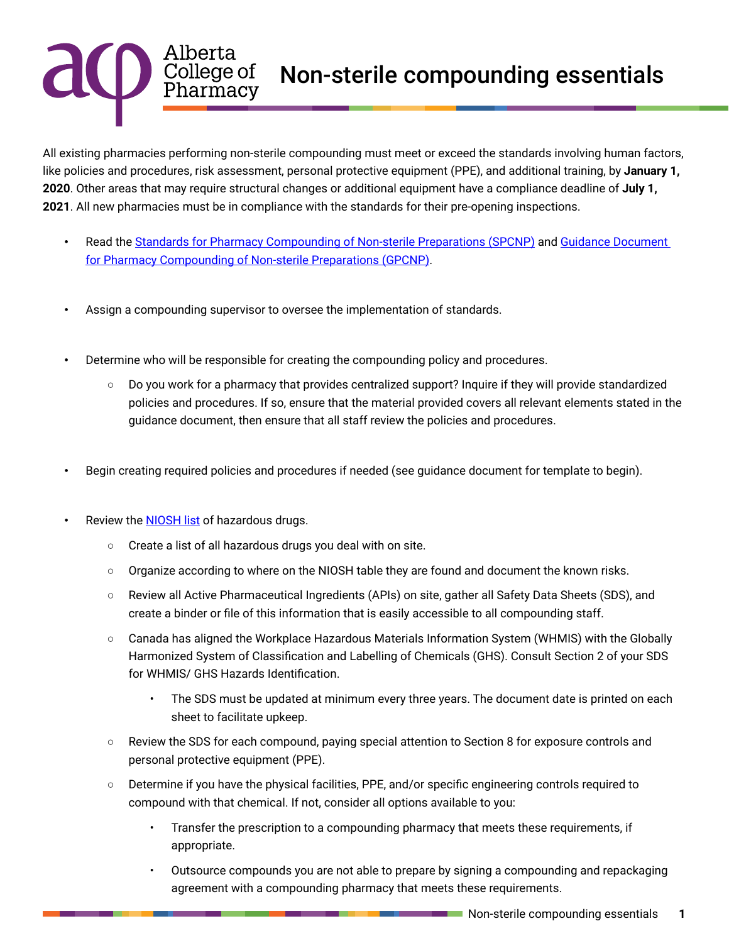## Non-sterile compounding essentials

All existing pharmacies performing non-sterile compounding must meet or exceed the standards involving human factors, like policies and procedures, risk assessment, personal protective equipment (PPE), and additional training, by **January 1, 2020**. Other areas that may require structural changes or additional equipment have a compliance deadline of **July 1, 2021**. All new pharmacies must be in compliance with the standards for their pre-opening inspections.

- Read the [Standards for Pharmacy Compounding of Non-sterile Preparations](https://abpharmacy.ca/standards-practice) (SPCNP) and Guidance Document [for Pharmacy Compounding of Non-sterile Preparations](https://abpharmacy.ca/standards-practice) (GPCNP).
- Assign a compounding supervisor to oversee the implementation of standards.
- Determine who will be responsible for creating the compounding policy and procedures.
	- Do you work for a pharmacy that provides centralized support? Inquire if they will provide standardized policies and procedures. If so, ensure that the material provided covers all relevant elements stated in the guidance document, then ensure that all staff review the policies and procedures.
- Begin creating required policies and procedures if needed (see guidance document for template to begin).
- Review the **NIOSH list** of hazardous drugs.

Alberta<br>College of<br>Pharmacy

- Create a list of all hazardous drugs you deal with on site.
- Organize according to where on the NIOSH table they are found and document the known risks.
- Review all Active Pharmaceutical Ingredients (APIs) on site, gather all Safety Data Sheets (SDS), and create a binder or file of this information that is easily accessible to all compounding staff.
- Canada has aligned the Workplace Hazardous Materials Information System (WHMIS) with the Globally Harmonized System of Classification and Labelling of Chemicals (GHS). Consult Section 2 of your SDS for WHMIS/ GHS Hazards Identification.
	- The SDS must be updated at minimum every three years. The document date is printed on each sheet to facilitate upkeep.
- Review the SDS for each compound, paying special attention to Section 8 for exposure controls and personal protective equipment (PPE).
- Determine if you have the physical facilities, PPE, and/or specific engineering controls required to compound with that chemical. If not, consider all options available to you:
	- Transfer the prescription to a compounding pharmacy that meets these requirements, if appropriate.
	- Outsource compounds you are not able to prepare by signing a compounding and repackaging agreement with a compounding pharmacy that meets these requirements.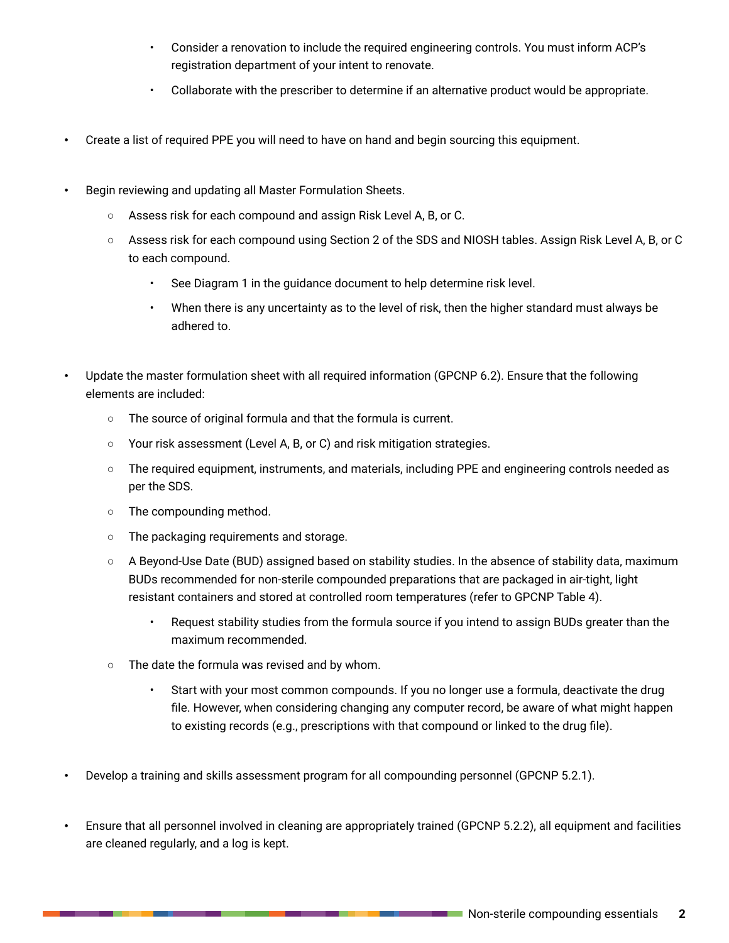- Consider a renovation to include the required engineering controls. You must inform ACP's registration department of your intent to renovate.
- Collaborate with the prescriber to determine if an alternative product would be appropriate.
- Create a list of required PPE you will need to have on hand and begin sourcing this equipment.
- Begin reviewing and updating all Master Formulation Sheets.
	- Assess risk for each compound and assign Risk Level A, B, or C.
	- Assess risk for each compound using Section 2 of the SDS and NIOSH tables. Assign Risk Level A, B, or C to each compound.
		- See Diagram 1 in the guidance document to help determine risk level.
		- When there is any uncertainty as to the level of risk, then the higher standard must always be adhered to.
- Update the master formulation sheet with all required information (GPCNP 6.2). Ensure that the following elements are included:
	- The source of original formula and that the formula is current.
	- Your risk assessment (Level A, B, or C) and risk mitigation strategies.
	- The required equipment, instruments, and materials, including PPE and engineering controls needed as per the SDS.
	- The compounding method.
	- The packaging requirements and storage.
	- A Beyond-Use Date (BUD) assigned based on stability studies. In the absence of stability data, maximum BUDs recommended for non-sterile compounded preparations that are packaged in air-tight, light resistant containers and stored at controlled room temperatures (refer to GPCNP Table 4).
		- Request stability studies from the formula source if you intend to assign BUDs greater than the maximum recommended.
	- The date the formula was revised and by whom.
		- Start with your most common compounds. If you no longer use a formula, deactivate the drug file. However, when considering changing any computer record, be aware of what might happen to existing records (e.g., prescriptions with that compound or linked to the drug file).
- Develop a training and skills assessment program for all compounding personnel (GPCNP 5.2.1).
- Ensure that all personnel involved in cleaning are appropriately trained (GPCNP 5.2.2), all equipment and facilities are cleaned regularly, and a log is kept.